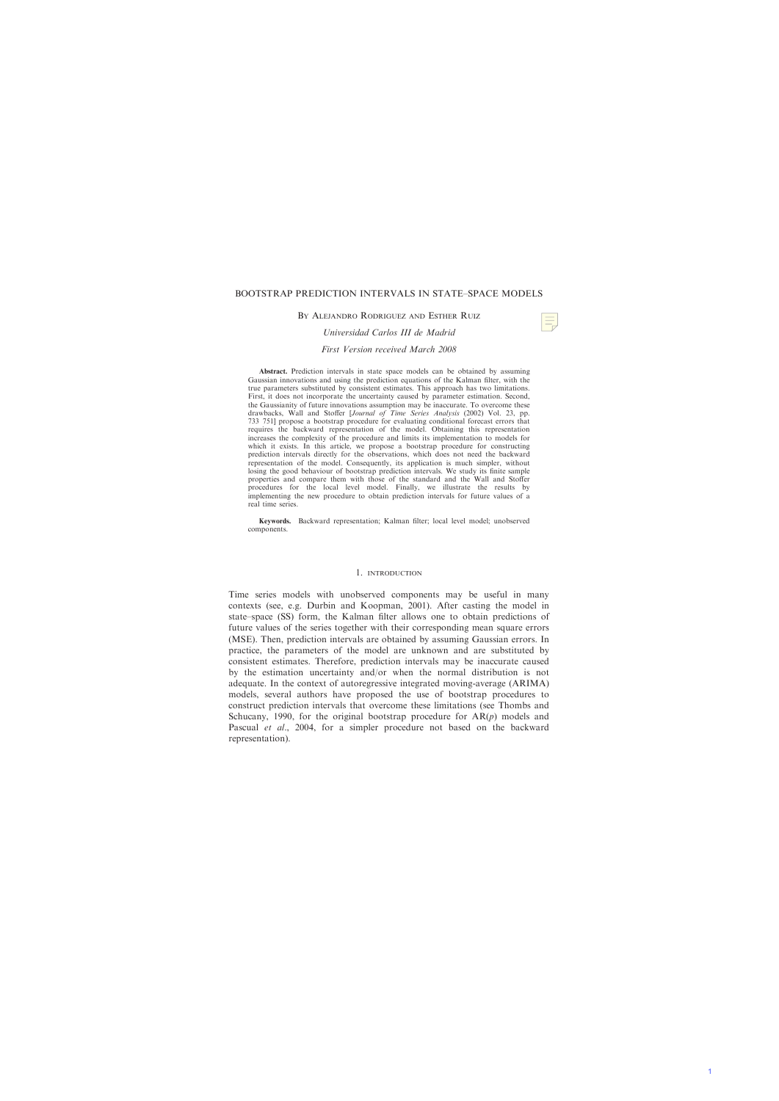# BOOTSTRAP PREDICTION INTERVALS IN STATE–SPACE MODELS

By Alejandro Rodriguez and Esther Ruiz

Universidad Carlos III de Madrid

#### First Version received March 2008

Abstract. Prediction intervals in state space models can be obtained by assuming Gaussian innovations and using the prediction equations of the Kalman filter, with the true parameters substituted by consistent estimates. This approach has two limitations. First, it does not incorporate the uncertainty caused by parameter estimation. Second, the Gaussianity of future innovations assumption may be inaccurate. To overcome these drawbacks, Wall and Stoffer [Journal of Time Series Analysis (2002) Vol. 23, pp. 733 751] propose a bootstrap procedure for evaluating conditional forecast errors that requires the backward representation of the model. Obtaining this representation increases the complexity of the procedure and limits its implementation to models for which it exists. In this article, we propose a bootstrap procedure for constructing prediction intervals directly for the observations, which does not need the backward representation of the model. Consequently, its application is much simpler, without losing the good behaviour of bootstrap prediction intervals. We study its finite sample properties and compare them with those of the standard and the Wall and Stoffer procedures for the local level model. Finally, we illustrate the results by implementing the new procedure to obtain prediction intervals for future values of a real time series.

Keywords. Backward representation; Kalman filter; local level model; unobserved components.

#### 1. INTRODUCTION

Time series models with unobserved components may be useful in many contexts (see, e.g. Durbin and Koopman, 2001). After casting the model in state–space (SS) form, the Kalman filter allows one to obtain predictions of future values of the series together with their corresponding mean square errors (MSE). Then, prediction intervals are obtained by assuming Gaussian errors. In practice, the parameters of the model are unknown and are substituted by consistent estimates. Therefore, prediction intervals may be inaccurate caused by the estimation uncertainty and/or when the normal distribution is not adequate. In the context of autoregressive integrated moving-average (ARIMA) models, several authors have proposed the use of bootstrap procedures to construct prediction intervals that overcome these limitations (see Thombs and Schucany, 1990, for the original bootstrap procedure for  $AR(p)$  models and Pascual et al., 2004, for a simpler procedure not based on the backward representation).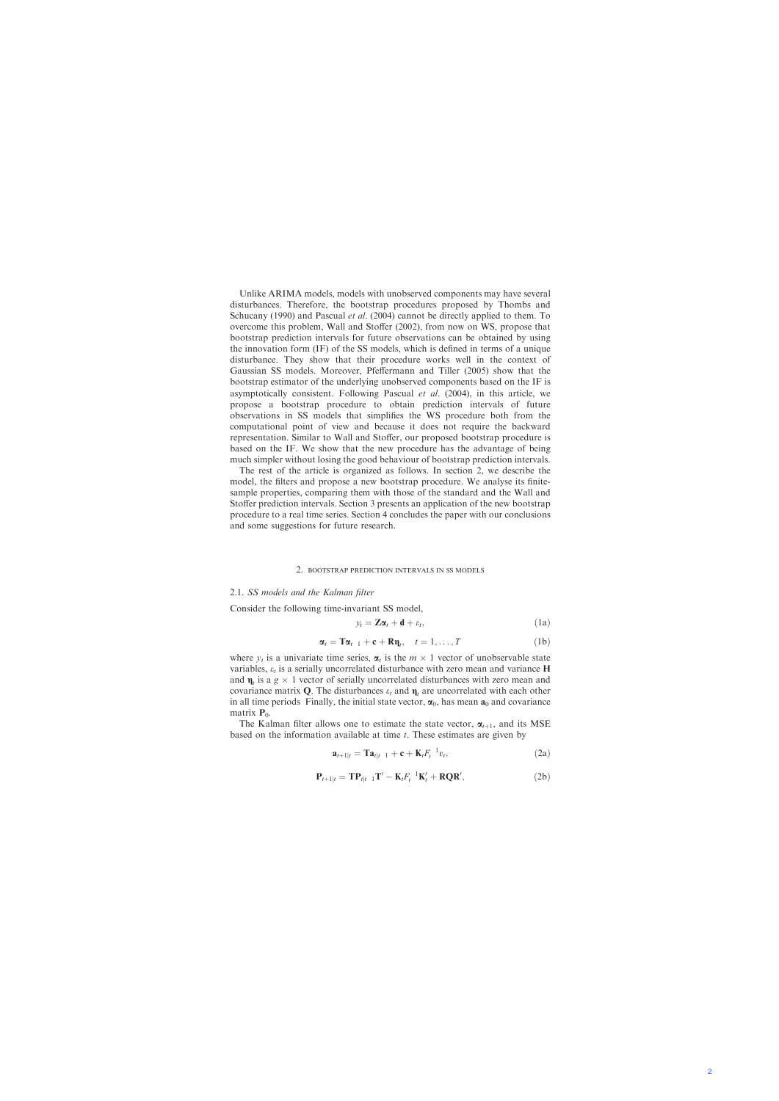Unlike ARIMA models, models with unobserved components may have several disturbances. Therefore, the bootstrap procedures proposed by Thombs and Schucany (1990) and Pascual et al. (2004) cannot be directly applied to them. To overcome this problem, Wall and Stoffer (2002), from now on WS, propose that bootstrap prediction intervals for future observations can be obtained by using the innovation form (IF) of the SS models, which is defined in terms of a unique disturbance. They show that their procedure works well in the context of Gaussian SS models. Moreover, Pfeffermann and Tiller (2005) show that the bootstrap estimator of the underlying unobserved components based on the IF is asymptotically consistent. Following Pascual et al. (2004), in this article, we propose a bootstrap procedure to obtain prediction intervals of future observations in SS models that simplifies the WS procedure both from the computational point of view and because it does not require the backward representation. Similar to Wall and Stoffer, our proposed bootstrap procedure is based on the IF. We show that the new procedure has the advantage of being much simpler without losing the good behaviour of bootstrap prediction intervals.

The rest of the article is organized as follows. In section 2, we describe the model, the filters and propose a new bootstrap procedure. We analyse its finitesample properties, comparing them with those of the standard and the Wall and Stoffer prediction intervals. Section 3 presents an application of the new bootstrap procedure to a real time series. Section 4 concludes the paper with our conclusions and some suggestions for future research.

#### 2. BOOTSTRAP PREDICTION INTERVALS IN SS MODELS

### 2.1. SS models and the Kalman filter

Consider the following time-invariant SS model,

$$
y_t = \mathbf{Z}\mathbf{\alpha}_t + \mathbf{d} + \varepsilon_t, \tag{1a}
$$

$$
\mathbf{\alpha}_t = \mathbf{T}\mathbf{\alpha}_{t-1} + \mathbf{c} + \mathbf{R}\mathbf{\eta}_t, \quad t = 1, \dots, T
$$
 (1b)

where  $y_t$  is a univariate time series,  $\alpha_t$  is the  $m \times 1$  vector of unobservable state variables,  $\varepsilon_t$  is a serially uncorrelated disturbance with zero mean and variance H and  $\eta_t$  is a  $g \times 1$  vector of serially uncorrelated disturbances with zero mean and covariance matrix Q. The disturbances  $\varepsilon_t$  and  $\eta_t$  are uncorrelated with each other in all time periods Finally, the initial state vector,  $\alpha_0$ , has mean  $a_0$  and covariance matrix  $P_0$ .

The Kalman filter allows one to estimate the state vector,  $\alpha_{t+1}$ , and its MSE based on the information available at time  $t$ . These estimates are given by

$$
\mathbf{a}_{t+1|t} = \mathbf{T} \mathbf{a}_{t|t-1} + \mathbf{c} + \mathbf{K}_t F_t^{-1} v_t,
$$
\n(2a)

$$
\mathbf{P}_{t+1|t} = \mathbf{T} \mathbf{P}_{t|t-1} \mathbf{T}' - \mathbf{K}_t F_t^{-1} \mathbf{K}'_t + \mathbf{R} \mathbf{Q} \mathbf{R}',\tag{2b}
$$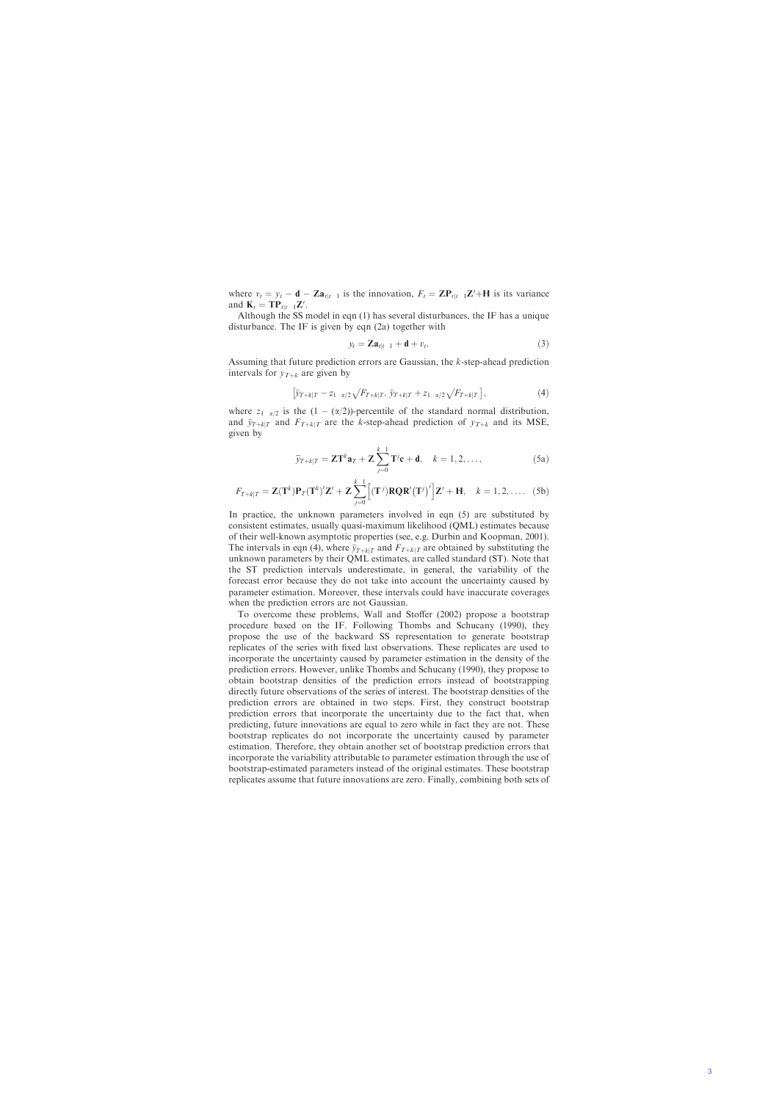Assuming that future prediction errors are Gaussian, the k-step-ahead prediction intervals for  $y_{T+k}$  are given by

where  $v_t = y_t - \mathbf{d} - \mathbf{Z} \mathbf{a}_{t|t-1}$  is the innovation,  $F_t = \mathbf{Z} \mathbf{P}_{t|t-1} \mathbf{Z}' + \mathbf{H}$  is its variance and  $\mathbf{K}_t = \mathbf{T} \mathbf{P}_{t|t-1} \mathbf{Z}'$ .

Although the SS model in eqn (1) has several disturbances, the IF has a unique disturbance. The IF is given by eqn (2a) together with

$$
y_t = \mathbf{Z} \mathbf{a}_{t|t-1} + \mathbf{d} + v_t.
$$
 (3)

where  $z_1$   $_{\alpha/2}$  is the  $(1 - (\alpha/2))$ -percentile of the standard normal distribution, and  $\tilde{y}_{T+k|T}$  and  $F_{T+k|T}$  are the k-step-ahead prediction of  $y_{T+k}$  and its MSE, given by

$$
[\tilde{y}_{T+k|T} - z_{1 \ \alpha/2} \sqrt{F_{T+k|T}}, \tilde{y}_{T+k|T} + z_{1 \ \alpha/2} \sqrt{F_{T+k|T}}], \qquad (4)
$$

$$
\widetilde{y}_{T+k|T} = \mathbf{Z} \mathbf{T}^k \mathbf{a}_T + \mathbf{Z} \sum_{j=0}^{k-1} \mathbf{T}^j \mathbf{c} + \mathbf{d}, \quad k = 1, 2, \dots,
$$
\n(5a)

$$
F_{T+k|T} = \mathbf{Z}(\mathbf{T}^k)\mathbf{P}_T(\mathbf{T}^k)'\mathbf{Z}' + \mathbf{Z} \sum_{j=0}^{k-1} \left[ (\mathbf{T}^j)\mathbf{R}\mathbf{Q}\mathbf{R}'(\mathbf{T}^j)'\right] \mathbf{Z}' + \mathbf{H}, \quad k = 1, 2, .... \quad (5b)
$$

In practice, the unknown parameters involved in eqn (5) are substituted by consistent estimates, usually quasi-maximum likelihood (QML) estimates because of their well-known asymptotic properties (see, e.g. Durbin and Koopman, 2001). The intervals in eqn (4), where  $\tilde{y}_{T+k|T}$  and  $F_{T+k|T}$  are obtained by substituting the unknown parameters by their QML estimates, are called standard (ST). Note that the ST prediction intervals underestimate, in general, the variability of the forecast error because they do not take into account the uncertainty caused by parameter estimation. Moreover, these intervals could have inaccurate coverages when the prediction errors are not Gaussian.

To overcome these problems, Wall and Stoffer (2002) propose a bootstrap procedure based on the IF. Following Thombs and Schucany (1990), they propose the use of the backward SS representation to generate bootstrap replicates of the series with fixed last observations. These replicates are used to incorporate the uncertainty caused by parameter estimation in the density of the prediction errors. However, unlike Thombs and Schucany (1990), they propose to obtain bootstrap densities of the prediction errors instead of bootstrapping directly future observations of the series of interest. The bootstrap densities of the prediction errors are obtained in two steps. First, they construct bootstrap prediction errors that incorporate the uncertainty due to the fact that, when predicting, future innovations are equal to zero while in fact they are not. These bootstrap replicates do not incorporate the uncertainty caused by parameter estimation. Therefore, they obtain another set of bootstrap prediction errors that incorporate the variability attributable to parameter estimation through the use of bootstrap-estimated parameters instead of the original estimates. These bootstrap replicates assume that future innovations are zero. Finally, combining both sets of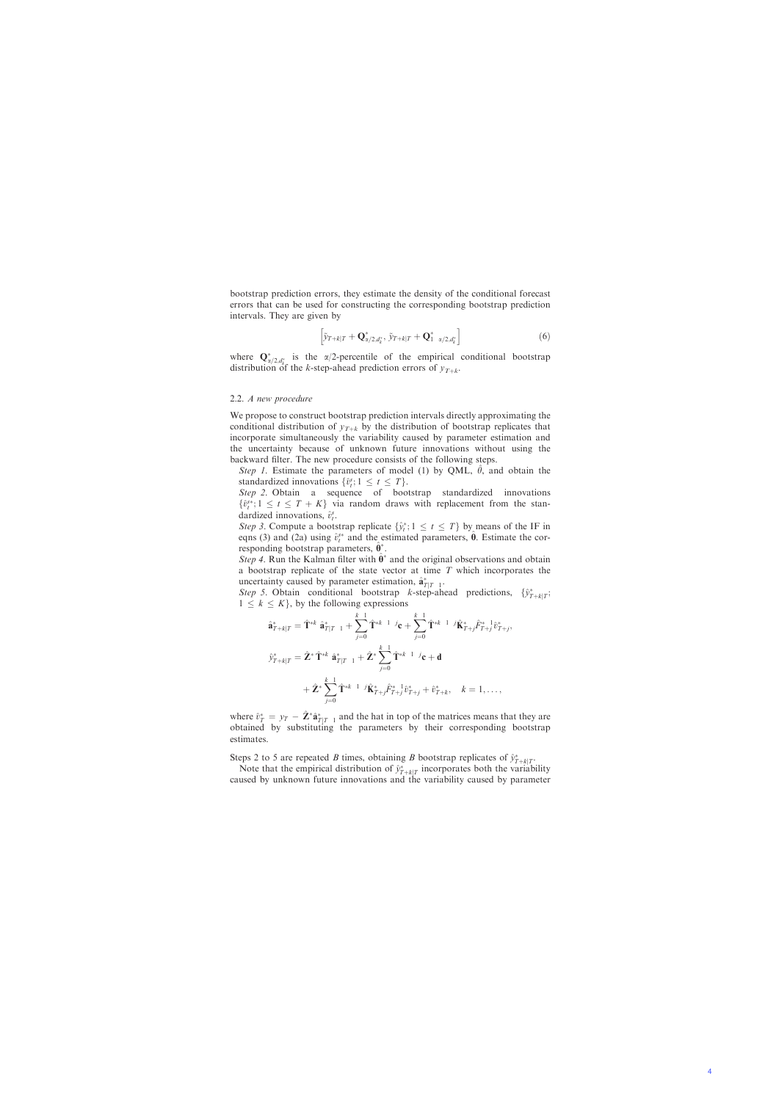bootstrap prediction errors, they estimate the density of the conditional forecast errors that can be used for constructing the corresponding bootstrap prediction intervals. They are given by

$$
\left[\tilde{y}_{T+k|T} + \mathbf{Q}_{\alpha/2,d_k^*}^*, \tilde{y}_{T+k|T} + \mathbf{Q}_{1-\alpha/2,d_k^*}^*\right]
$$
\n
$$
\tag{6}
$$

where  $Q^*_{\alpha/2,d_\mu^*}$  is the  $\alpha/2$ -percentile of the empirical conditional bootstrap distribution of the k-step-ahead prediction errors of  $y_{T+k}$ .

We propose to construct bootstrap prediction intervals directly approximating the conditional distribution of  $y_{T+k}$  by the distribution of bootstrap replicates that incorporate simultaneously the variability caused by parameter estimation and the uncertainty because of unknown future innovations without using the backward filter. The new procedure consists of the following steps.

Step 1. Estimate the parameters of model (1) by QML,  $\theta$ , and obtain the standardized innovations  $\{\hat{v}_t^s; 1 \le t \le T\}.$ 

Step 2. Obtain a sequence of bootstrap standardized innovations  $\{\hat{v}_t^{s*}; 1 \le t \le T + K\}$  via random draws with replacement from the standardized innovations,  $\hat{v}_t^s$ .

Step 3. Compute a bootstrap replicate  $\{\hat{y}_t^*\; ; \; 1 \le t \le T\}$  by means of the IF in eqns (3) and (2a) using  $\hat{v}^{s*}$  and the estimated parameters,  $\hat{\theta}$ . Estimate the corresponding bootstrap parameters,  $\hat{\theta}^*$ .

Step 4. Run the Kalman filter with  $\hat{\theta}^*$  and the original observations and obtain a bootstrap replicate of the state vector at time  $T$  which incorporates the uncertainty caused by parameter estimation,  $\hat{\mathbf{a}}_{T|T-1}^*$ .

Step 5. Obtain conditional bootstrap k-step-ahead predictions,  $\{\hat{y}^*_{T+k|T};$  $1 \leq k \leq K$ , by the following expressions

### 2.2. A new procedure

where  $\hat{v}_T^* = y_T - \hat{Z}^* \hat{\mathbf{a}}_{T|T-1}^*$  and the hat in top of the matrices means that they are obtained by substituting the parameters by their corresponding bootstrap estimates.

Steps 2 to 5 are repeated B times, obtaining B bootstrap replicates of  $\hat{y}^*_{T+k|T}$ .

Note that the empirical distribution of  $\hat{y}^*_{T+k|T}$  incorporates both the variability caused by unknown future innovations and the variability caused by parameter

$$
\hat{\mathbf{a}}_{T+k|T}^{*} = \hat{\mathbf{T}}^{*k} \; \hat{\mathbf{a}}_{T|T-1}^{*} + \sum_{j=0}^{k-1} \hat{\mathbf{T}}^{*k-1-j} \mathbf{c} + \sum_{j=0}^{k-1} \hat{\mathbf{T}}^{*k-1-j} \hat{\mathbf{K}}_{T+j}^{*} \hat{F}_{T+j}^{*} \hat{v}_{T+j}^{*},
$$
\n
$$
\hat{y}_{T+k|T}^{*} = \hat{\mathbf{Z}}^{*} \hat{\mathbf{T}}^{*k} \; \hat{\mathbf{a}}_{T|T-1}^{*} + \hat{\mathbf{Z}}^{*} \sum_{j=0}^{k-1} \hat{\mathbf{T}}^{*k-1-j} \mathbf{c} + \mathbf{d}
$$
\n
$$
+ \hat{\mathbf{Z}}^{*} \sum_{j=0}^{k-1} \hat{\mathbf{T}}^{*k-1-j} \hat{\mathbf{K}}_{T+j}^{*} \hat{F}_{T+j}^{*} \hat{v}_{T+j}^{*} + \hat{v}_{T+k}^{*}, \quad k = 1, \dots,
$$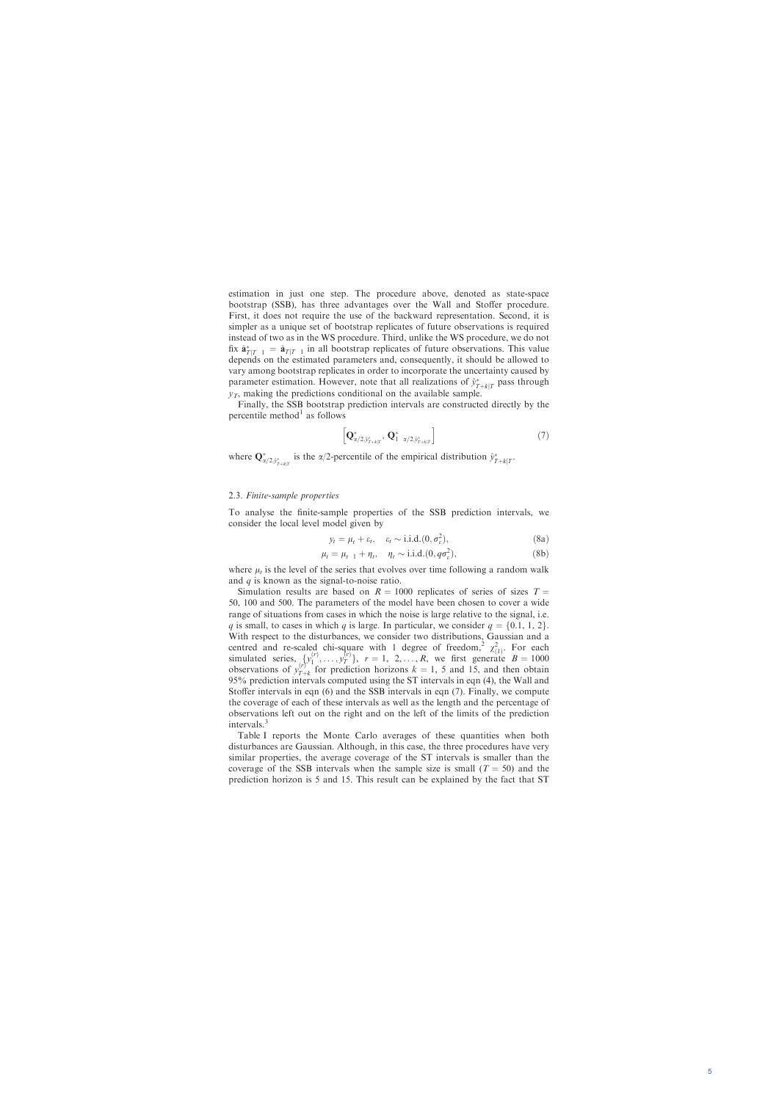estimation in just one step. The procedure above, denoted as state-space bootstrap (SSB), has three advantages over the Wall and Stoffer procedure. First, it does not require the use of the backward representation. Second, it is simpler as a unique set of bootstrap replicates of future observations is required instead of two as in the WS procedure. Third, unlike the WS procedure, we do not fix  $\hat{\mathbf{a}}_{T|T-1}^* = \hat{\mathbf{a}}_{T|T-1}$  in all bootstrap replicates of future observations. This value depends on the estimated parameters and, consequently, it should be allowed to vary among bootstrap replicates in order to incorporate the uncertainty caused by parameter estimation. However, note that all realizations of  $\hat{y}_{T+k|T}^*$  pass through  $y_T$ , making the predictions conditional on the available sample.

Finally, the SSB bootstrap prediction intervals are constructed directly by the percentile method $<sup>1</sup>$  as follows</sup>

$$
\left[\mathbf{Q}_{\alpha/2,\hat{\mathbf{y}}_{T+k|T}}^*,\,\mathbf{Q}_{1-\alpha/2,\hat{\mathbf{y}}_{T+k|T}}^*\right]
$$
\n
$$
\tag{7}
$$

where  $\mathbf{Q}_{\alpha/2, \hat{y}_{T+k|T}^*}^*$  is the  $\alpha/2$ -percentile of the empirical distribution  $\hat{y}_{T+k|T}^*$ .

### 2.3. Finite-sample properties

To analyse the finite-sample properties of the SSB prediction intervals, we consider the local level model given by

Simulation results are based on  $R = 1000$  replicates of series of sizes  $T =$ 50, 100 and 500. The parameters of the model have been chosen to cover a wide range of situations from cases in which the noise is large relative to the signal, i.e. q is small, to cases in which q is large. In particular, we consider  $q = \{0.1, 1, 2\}$ . With respect to the disturbances, we consider two distributions, Gaussian and a centred and re-scaled chi-square with 1 degree of freedom,<sup>2</sup>  $\chi^2_{(1)}$ . For each simulated series,  $\{y_1^{(r)}, \ldots, y_T^{(r)}\}$ ,  $r = 1, 2, \ldots, R$ , we first generate  $B = 1000$ observations of  $y_{T+k}^{(r)}$  for prediction horizons  $k = 1$ , 5 and 15, and then obtain 95% prediction intervals computed using the ST intervals in eqn (4), the Wall and Stoffer intervals in eqn (6) and the SSB intervals in eqn (7). Finally, we compute the coverage of each of these intervals as well as the length and the percentage of observations left out on the right and on the left of the limits of the prediction intervals.<sup>3</sup>

$$
y_t = \mu_t + \varepsilon_t, \quad \varepsilon_t \sim \text{i.i.d.}(0, \sigma_\varepsilon^2), \tag{8a}
$$

$$
\mu_t = \mu_{t-1} + \eta_t, \quad \eta_t \sim \text{i.i.d.}(0, q\sigma_\varepsilon^2), \tag{8b}
$$

where  $\mu_t$  is the level of the series that evolves over time following a random walk and  $q$  is known as the signal-to-noise ratio.

Table I reports the Monte Carlo averages of these quantities when both disturbances are Gaussian. Although, in this case, the three procedures have very similar properties, the average coverage of the ST intervals is smaller than the coverage of the SSB intervals when the sample size is small  $(T = 50)$  and the prediction horizon is 5 and 15. This result can be explained by the fact that ST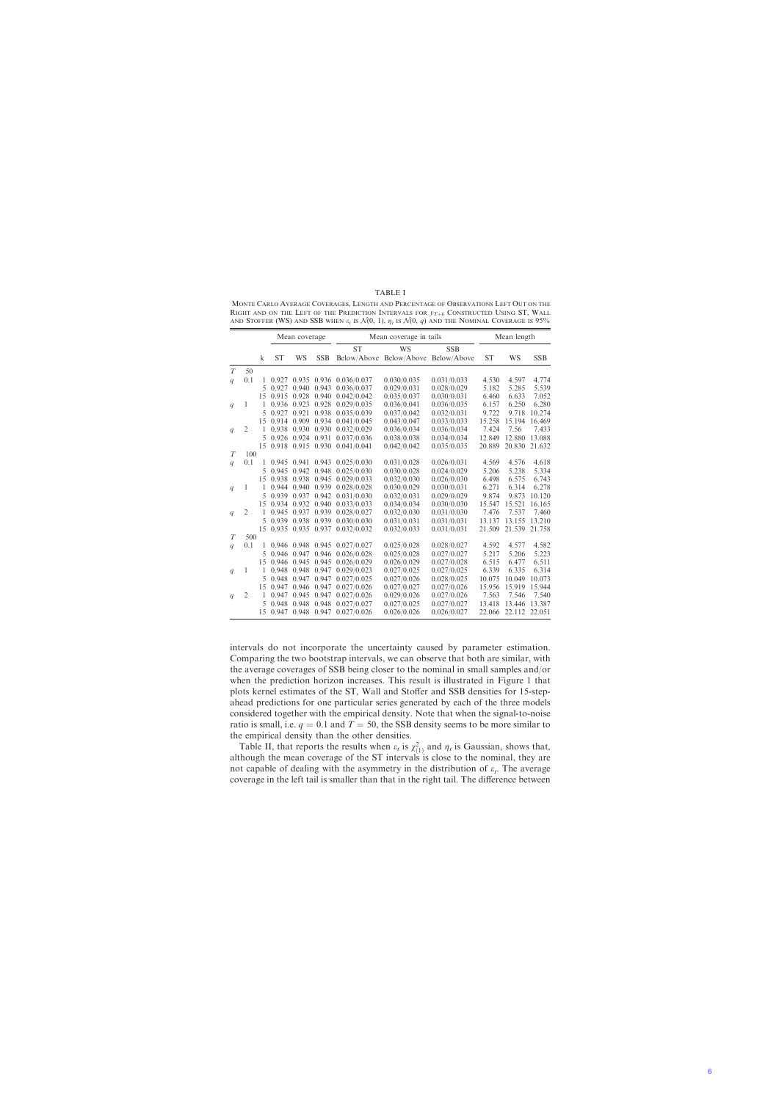intervals do not incorporate the uncertainty caused by parameter estimation. Comparing the two bootstrap intervals, we can observe that both are similar, with the average coverages of SSB being closer to the nominal in small samples and/or when the prediction horizon increases. This result is illustrated in Figure 1 that plots kernel estimates of the ST, Wall and Stoffer and SSB densities for 15-stepahead predictions for one particular series generated by each of the three models considered together with the empirical density. Note that when the signal-to-noise ratio is small, i.e.  $q = 0.1$  and  $T = 50$ , the SSB density seems to be more similar to the empirical density than the other densities.

Table II, that reports the results when  $\varepsilon_t$  is  $\chi^2_{(1)}$  and  $\eta_t$  is Gaussian, shows that, although the mean coverage of the ST intervals is close to the nominal, they are not capable of dealing with the asymmetry in the distribution of  $\varepsilon_t$ . The average coverage in the left tail is smaller than that in the right tail. The difference between

Monte Carlo Average Coverages, Length and Percentage of Observations Left Out on the RIGHT AND ON THE LEFT OF THE PREDICTION INTERVALS FOR  $y_{T+k}$  Constructed Using ST, Wall AND STOFFER (WS) AND SSB WHEN  $\varepsilon_t$  is  $\mathcal{N}(0, 1)$ ,  $\eta_t$  is  $\mathcal{N}(0, q)$  and the Nominal Coverage is 95%

|   |                |              | Mean coverage |                   |            | Mean coverage in tails          |                                           |             |           | Mean length   |            |  |
|---|----------------|--------------|---------------|-------------------|------------|---------------------------------|-------------------------------------------|-------------|-----------|---------------|------------|--|
|   |                |              |               |                   | <b>SSB</b> | <b>ST</b>                       | WS<br>Below/Above Below/Above Below/Above | <b>SSB</b>  | <b>ST</b> | <b>WS</b>     | <b>SSB</b> |  |
|   |                | k            | <b>ST</b>     | WS                |            |                                 |                                           |             |           |               |            |  |
| T | 50             |              |               |                   |            |                                 |                                           |             |           |               |            |  |
| q | 0.1            | $\mathbf{1}$ |               |                   |            | 0.927 0.935 0.936 0.036/0.037   | 0.030/0.035                               | 0.031/0.033 | 4.530     | 4.597         | 4.774      |  |
|   |                | 5            |               | 0.927 0.940       | 0.943      | 0.036/0.037                     | 0.029/0.031                               | 0.028/0.029 | 5.182     | 5.285         | 5.539      |  |
|   |                | 15           | 0.915         | 0.928             | 0.940      | 0.042/0.042                     | 0.035/0.037                               | 0.030/0.031 | 6.460     | 6.633         | 7.052      |  |
| q | 1              | 1            |               | 0.936 0.923       | 0.928      | 0.029/0.035                     | 0.036/0.041                               | 0.036/0.035 | 6.157     | 6.250         | 6.280      |  |
|   |                | 5            | 0.927         | 0.921             | 0.938      | 0.035/0.039                     | 0.037/0.042                               | 0.032/0.031 | 9.722     | 9.718         | 10.274     |  |
|   |                | 15           |               | 0.914 0.909 0.934 |            | 0.041/0.045                     | 0.043/0.047                               | 0.033/0.033 | 15.258    | 15.194        | 16.469     |  |
| q | $\overline{2}$ | 1            |               | 0.938 0.930       | 0.930      | 0.032/0.029                     | 0.036/0.034                               | 0.036/0.034 | 7.424     | 7.56          | 7.433      |  |
|   |                | 5            |               | 0.926 0.924 0.931 |            | 0.037/0.036                     | 0.038/0.038                               | 0.034/0.034 | 12.849    | 12.880        | 13.088     |  |
|   |                | 15           |               |                   |            | 0.918 0.915 0.930 0.041/0.041   | 0.042/0.042                               | 0.035/0.035 | 20.889    | 20.830        | 21.632     |  |
| T | 100            |              |               |                   |            |                                 |                                           |             |           |               |            |  |
| q | 0.1            |              |               |                   |            | 1 0.945 0.941 0.943 0.025/0.030 | 0.031/0.028                               | 0.026/0.031 | 4.569     | 4.576         | 4.618      |  |
|   |                | 5            | 0.945         | 0.942             | 0.948      | 0.025/0.030                     | 0.030/0.028                               | 0.024/0.029 | 5.206     | 5.238         | 5.334      |  |
|   |                | 15           |               | 0.938 0.938 0.945 |            | 0.029/0.033                     | 0.032/0.030                               | 0.026/0.030 | 6.498     | 6.575         | 6.743      |  |
| q | 1              | $\mathbf{1}$ | 0.944         | 0.940             | 0.939      | 0.028/0.028                     | 0.030/0.029                               | 0.030/0.031 | 6.271     | 6.314         | 6.278      |  |
|   |                | 5            |               | 0.939 0.937       | 0.942      | 0.031/0.030                     | 0.032/0.031                               | 0.029/0.029 | 9.874     | 9.873         | 10.120     |  |
|   |                | 15           |               | 0.934 0.932       | 0.940      | 0.033/0.033                     | 0.034/0.034                               | 0.030/0.030 | 15.547    | 15.521        | 16.165     |  |
| q | $\overline{2}$ | 1            |               | 0.945 0.937       | 0.939      | 0.028/0.027                     | 0.032/0.030                               | 0.031/0.030 | 7.476     | 7.537         | 7.460      |  |
|   |                | 5            |               | 0.939 0.938       | 0.939      | 0.030/0.030                     | 0.031/0.031                               | 0.031/0.031 | 13.137    | 13.155        | 13.210     |  |
|   |                | 15           |               |                   |            | 0.935 0.935 0.937 0.032/0.032   | 0.032/0.033                               | 0.031/0.031 | 21.509    | 21.539        | 21.758     |  |
| T | 500            |              |               |                   |            |                                 |                                           |             |           |               |            |  |
| q | 0.1            |              |               |                   |            | 1 0.946 0.948 0.945 0.027/0.027 | 0.025/0.028                               | 0.028/0.027 | 4.592     | 4.577         | 4.582      |  |
|   |                |              |               | 5 0.946 0.947     | 0.946      | 0.026/0.028                     | 0.025/0.028                               | 0.027/0.027 | 5.217     | 5.206         | 5.223      |  |
|   |                | 15           |               | 0.946 0.945       | 0.945      | 0.026/0.029                     | 0.026/0.029                               | 0.027/0.028 | 6.515     | 6.477         | 6.511      |  |
| q | 1              | 1            | 0.948         | 0.948             | 0.947      | 0.029/0.023                     | 0.027/0.025                               | 0.027/0.025 | 6.339     | 6.335         | 6.314      |  |
|   |                | 5            | 0.948         | 0.947             | 0.947      | 0.027/0.025                     | 0.027/0.026                               | 0.028/0.025 | 10.075    | 10.049        | 10.073     |  |
|   |                | 15           | 0.947         | 0.946             | 0.947      | 0.027/0.026                     | 0.027/0.027                               | 0.027/0.026 | 15.956    | 15.919        | 15.944     |  |
| q | $\overline{2}$ | 1            | 0.947         | 0.945             | 0.947      | 0.027/0.026                     | 0.029/0.026                               | 0.027/0.026 | 7.563     | 7.546         | 7.540      |  |
|   |                | 5            | 0.948         | 0.948             | 0.948      | 0.027/0.027                     | 0.027/0.025                               | 0.027/0.027 | 13.418    | 13.446        | 13.387     |  |
|   |                | 1.5          |               |                   |            | 0.947 0.948 0.947 0.027/0.026   | 0.026/0.026                               | 0.026/0.027 | 22.066    | 22.112 22.051 |            |  |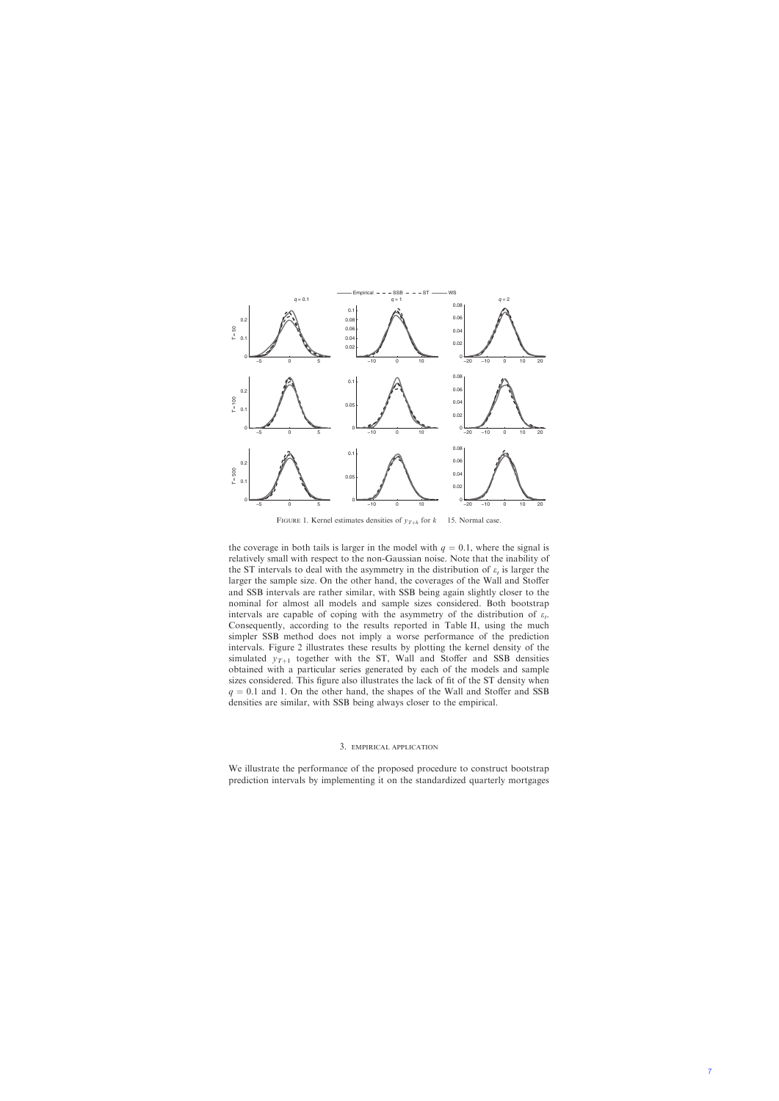the coverage in both tails is larger in the model with  $q = 0.1$ , where the signal is relatively small with respect to the non-Gaussian noise. Note that the inability of the ST intervals to deal with the asymmetry in the distribution of  $\varepsilon_t$  is larger the larger the sample size. On the other hand, the coverages of the Wall and Stoffer and SSB intervals are rather similar, with SSB being again slightly closer to the nominal for almost all models and sample sizes considered. Both bootstrap intervals are capable of coping with the asymmetry of the distribution of  $\varepsilon_t$ . Consequently, according to the results reported in Table II, using the much simpler SSB method does not imply a worse performance of the prediction intervals. Figure 2 illustrates these results by plotting the kernel density of the simulated  $y_{T+1}$  together with the ST, Wall and Stoffer and SSB densities obtained with a particular series generated by each of the models and sample sizes considered. This figure also illustrates the lack of fit of the ST density when  $q = 0.1$  and 1. On the other hand, the shapes of the Wall and Stoffer and SSB densities are similar, with SSB being always closer to the empirical.



FIGURE 1. Kernel estimates densities of  $y_{T+k}$  for k 15. Normal case.

# 3. EMPIRICAL APPLICATION

We illustrate the performance of the proposed procedure to construct bootstrap prediction intervals by implementing it on the standardized quarterly mortgages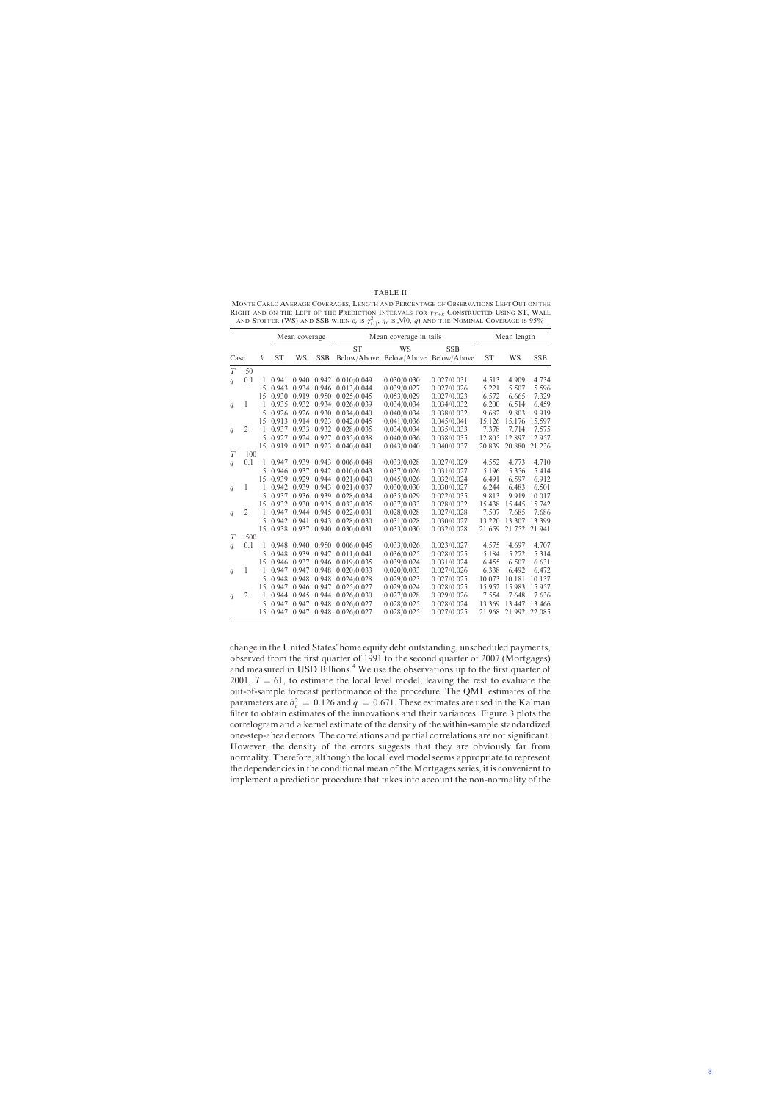change in the United States' home equity debt outstanding, unscheduled payments, observed from the first quarter of 1991 to the second quarter of 2007 (Mortgages) and measured in USD Billions.<sup>4</sup> We use the observations up to the first quarter of 2001,  $T = 61$ , to estimate the local level model, leaving the rest to evaluate the out-of-sample forecast performance of the procedure. The QML estimates of the parameters are  $\hat{\sigma}_{e}^{2} = 0.126$  and  $\hat{q} = 0.671$ . These estimates are used in the Kalman filter to obtain estimates of the innovations and their variances. Figure 3 plots the correlogram and a kernel estimate of the density of the within-sample standardized one-step-ahead errors. The correlations and partial correlations are not significant. However, the density of the errors suggests that they are obviously far from normality. Therefore, although the local level model seems appropriate to represent the dependencies in the conditional mean of the Mortgages series, it is convenient to implement a prediction procedure that takes into account the non-normality of the

Monte Carlo Average Coverages, Length and Percentage of Observations Left Out on the RIGHT AND ON THE LEFT OF THE PREDICTION INTERVALS FOR  $y_{T+k}$  Constructed Using ST, Wall and Stoffer (WS) and SSB when  $\varepsilon_t$  is  $\chi^2_{(1)}, \eta_t$  is  $\mathcal{N}(0, q)$  and the Nominal Coverage is 95%

### TABLE II

|   |                |              | Mean coverage |                      |            | Mean coverage in tails        |                                     |             | Mean length |           |            |
|---|----------------|--------------|---------------|----------------------|------------|-------------------------------|-------------------------------------|-------------|-------------|-----------|------------|
|   |                |              |               |                      |            | <b>ST</b>                     | WS                                  | <b>SSB</b>  |             |           |            |
|   | Case           |              | <b>ST</b>     | WS                   | <b>SSB</b> |                               | Below/Above Below/Above Below/Above |             | <b>ST</b>   | <b>WS</b> | <b>SSB</b> |
| T | 50             |              |               |                      |            |                               |                                     |             |             |           |            |
| q | 0.1            |              | $1 \t0.941$   |                      |            | $0.940$ $0.942$ $0.010/0.049$ | 0.030/0.030                         | 0.027/0.031 | 4.513       | 4.909     | 4.734      |
|   |                | 5.           | 0.943         | 0.934                | 0.946      | 0.013/0.044                   | 0.039/0.027                         | 0.027/0.026 | 5.221       | 5.507     | 5.596      |
|   |                | 15           | 0.930         | 0.919                | 0.950      | 0.025/0.045                   | 0.053/0.029                         | 0.027/0.023 | 6.572       | 6.665     | 7.329      |
| q | 1              | 1            |               | 0.935 0.932 0.934    |            | 0.026/0.039                   | 0.034/0.034                         | 0.034/0.032 | 6.200       | 6.514     | 6.459      |
|   |                | 5            |               | 0.926 0.926 0.930    |            | 0.034/0.040                   | 0.040/0.034                         | 0.038/0.032 | 9.682       | 9.803     | 9.919      |
|   |                | 15           |               | 0.913 0.914 0.923    |            | 0.042/0.045                   | 0.041/0.036                         | 0.045/0.041 | 15.126      | 15.176    | 15.597     |
| q | $\overline{2}$ | 1            |               | 0.937 0.933 0.932    |            | 0.028/0.035                   | 0.034/0.034                         | 0.035/0.033 | 7.378       | 7.714     | 7.575      |
|   |                | 5            |               | 0.927 0.924 0.927    |            | 0.035/0.038                   | 0.040/0.036                         | 0.038/0.035 | 12.805      | 12.897    | 12.957     |
|   |                | 15           |               | 0.919 0.917 0.923    |            | 0.040/0.041                   | 0.043/0.040                         | 0.040/0.037 | 20.839      | 20.880    | 21.236     |
| T | 100            |              |               |                      |            |                               |                                     |             |             |           |            |
| q | 0.1            | $\mathbf{1}$ |               | 0.947 0.939 0.943    |            | 0.006/0.048                   | 0.033/0.028                         | 0.027/0.029 | 4.552       | 4.773     | 4.710      |
|   |                | 5            | 0.946         | 0.937                | 0.942      | 0.010/0.043                   | 0.037/0.026                         | 0.031/0.027 | 5.196       | 5.356     | 5.414      |
|   |                | 15           |               | 0.939 0.929          | 0.944      | 0.021/0.040                   | 0.045/0.026                         | 0.032/0.024 | 6.491       | 6.597     | 6.912      |
| q | $\mathbf{1}$   | $\mathbf{1}$ |               | 0.942 0.939          | 0.943      | 0.021/0.037                   | 0.030/0.030                         | 0.030/0.027 | 6.244       | 6.483     | 6.501      |
|   |                | 5            |               | 0.937 0.936          | 0.939      | 0.028/0.034                   | 0.035/0.029                         | 0.022/0.035 | 9.813       | 9.919     | 10.017     |
|   |                | 15           |               | 0.932 0.930          | 0.935      | 0.033/0.035                   | 0.037/0.033                         | 0.028/0.032 | 15.438      | 15.445    | 15.742     |
| q | 2              | 1            |               | 0.947 0.944          | 0.945      | 0.022/0.031                   | 0.028/0.028                         | 0.027/0.028 | 7.507       | 7.685     | 7.686      |
|   |                | 5            |               | 0.942 0.941          | 0.943      | 0.028/0.030                   | 0.031/0.028                         | 0.030/0.027 | 13.220      | 13.307    | 13.399     |
|   |                | 15           |               | 0.938 0.937 0.940    |            | 0.030/0.031                   | 0.033/0.030                         | 0.032/0.028 | 21.659      | 21.752    | 21.941     |
| T | 500            |              |               |                      |            |                               |                                     |             |             |           |            |
| q | 0.1            | $\mathbf{1}$ |               | 0.948 0.940          | 0.950      | 0.006/0.045                   | 0.033/0.026                         | 0.023/0.027 | 4.575       | 4.697     | 4.707      |
|   |                | 5            | 0.948         | 0.939                | 0.947      | 0.011/0.041                   | 0.036/0.025                         | 0.028/0.025 | 5.184       | 5.272     | 5.314      |
|   |                | 15           | 0.946         | 0.937                | 0.946      | 0.019/0.035                   | 0.039/0.024                         | 0.031/0.024 | 6.455       | 6.507     | 6.631      |
| q | 1              | 1            | 0.947         | 0.947                | 0.948      | 0.020/0.033                   | 0.020/0.033                         | 0.027/0.026 | 6.338       | 6.492     | 6.472      |
|   |                | 5            |               | 0.948 0.948          | 0.948      | 0.024/0.028                   | 0.029/0.023                         | 0.027/0.025 | 10.073      | 10.181    | 10.137     |
|   |                | 15           |               | 0.947 0.946          | 0.947      | 0.025/0.027                   | 0.029/0.024                         | 0.028/0.025 | 15.952      | 15.983    | 15.957     |
| q | $\overline{2}$ | 1            |               | 0.944 0.945          | 0.944      | 0.026/0.030                   | 0.027/0.028                         | 0.029/0.026 | 7.554       | 7.648     | 7.636      |
|   |                | 5            |               | 0.947 0.947          | 0.948      | 0.026/0.027                   | 0.028/0.025                         | 0.028/0.024 | 13.369      | 13.447    | 13.466     |
|   |                |              |               | 15 0.947 0.947 0.948 |            | 0.026/0.027                   | 0.028/0.025                         | 0.027/0.025 | 21.968      | 21.992    | 22.085     |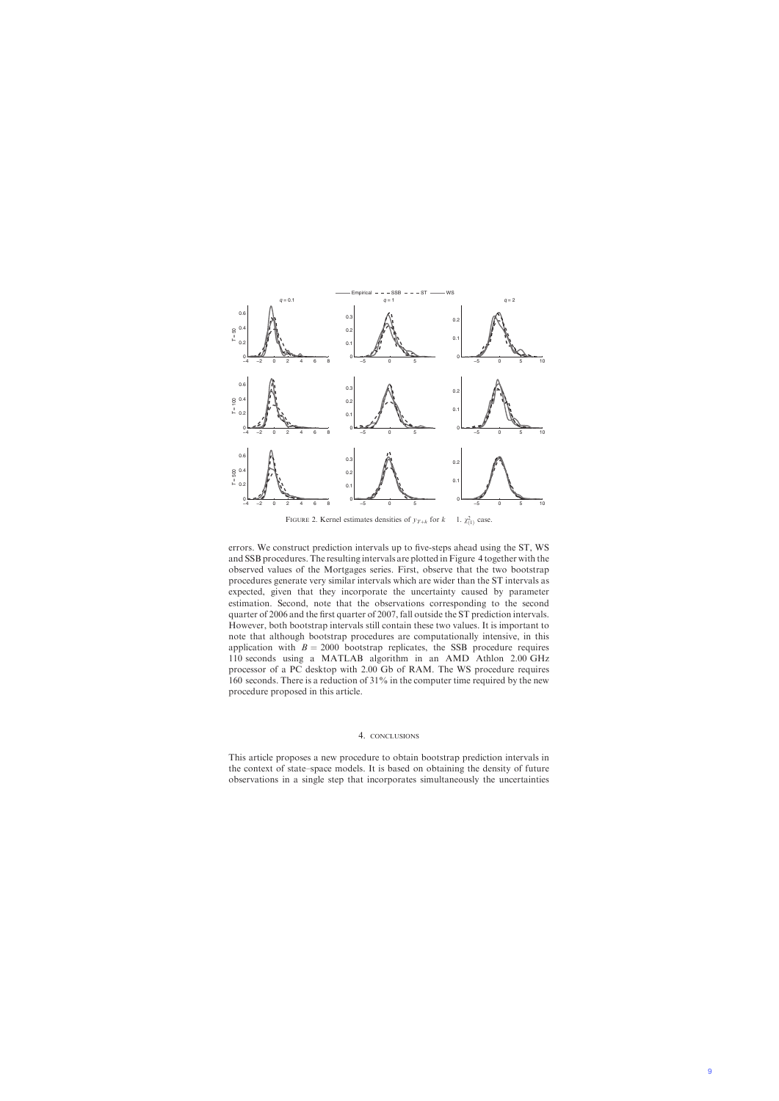errors. We construct prediction intervals up to five-steps ahead using the ST, WS and SSB procedures. The resulting intervals are plotted in Figure 4 together with the observed values of the Mortgages series. First, observe that the two bootstrap procedures generate very similar intervals which are wider than the ST intervals as expected, given that they incorporate the uncertainty caused by parameter estimation. Second, note that the observations corresponding to the second quarter of 2006 and the first quarter of 2007, fall outside the ST prediction intervals. However, both bootstrap intervals still contain these two values. It is important to note that although bootstrap procedures are computationally intensive, in this application with  $B = 2000$  bootstrap replicates, the SSB procedure requires 110 seconds using a MATLAB algorithm in an AMD Athlon 2.00 GHz processor of a PC desktop with 2.00 Gb of RAM. The WS procedure requires 160 seconds. There is a reduction of 31% in the computer time required by the new procedure proposed in this article.



FIGURE 2. Kernel estimates densities of  $y_{T+k}$  for k 1.  $\chi^2_{(1)}$  case.

# 4. CONCLUSIONS

This article proposes a new procedure to obtain bootstrap prediction intervals in the context of state–space models. It is based on obtaining the density of future observations in a single step that incorporates simultaneously the uncertainties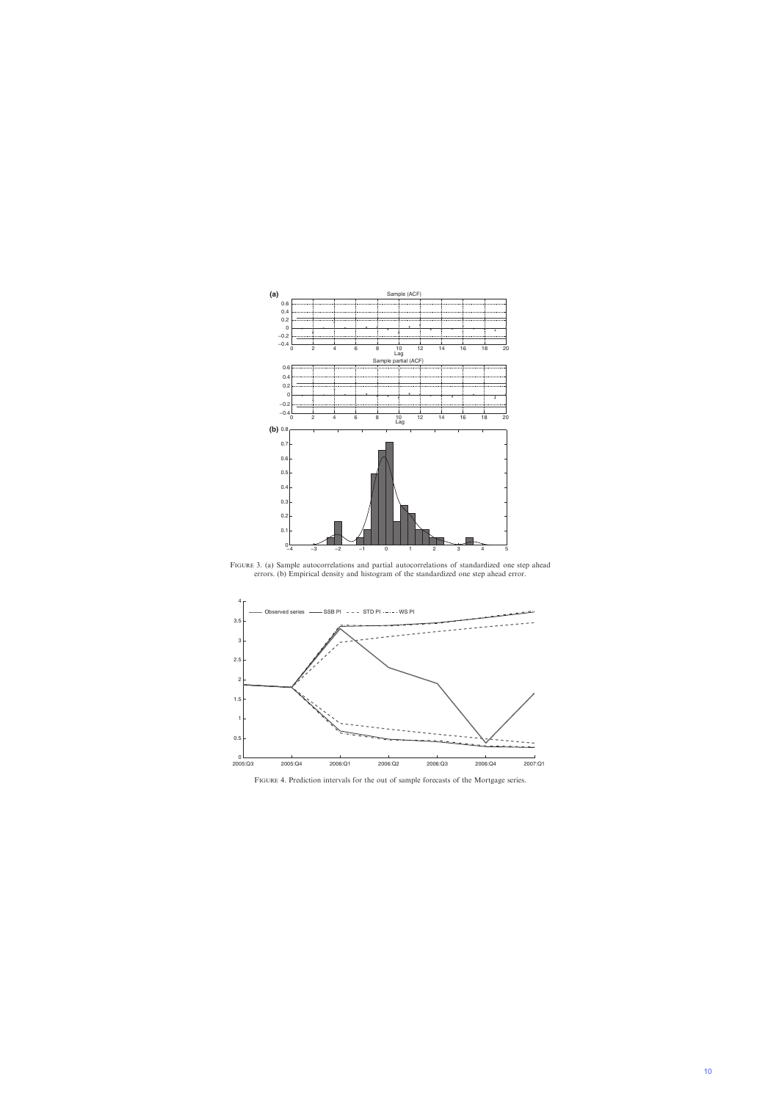

Figure 3. (a) Sample autocorrelations and partial autocorrelations of standardized one step ahead errors. (b) Empirical density and histogram of the standardized one step ahead error.



Figure 4. Prediction intervals for the out of sample forecasts of the Mortgage series.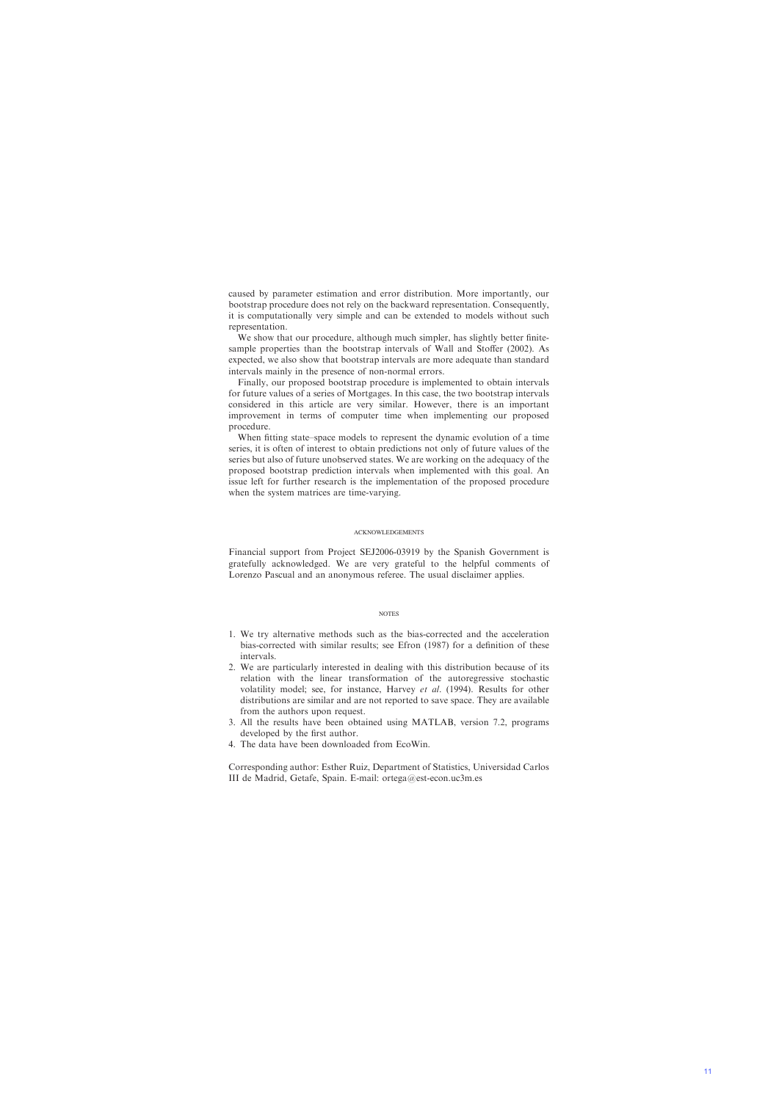caused by parameter estimation and error distribution. More importantly, our bootstrap procedure does not rely on the backward representation. Consequently, it is computationally very simple and can be extended to models without such representation.

We show that our procedure, although much simpler, has slightly better finitesample properties than the bootstrap intervals of Wall and Stoffer (2002). As expected, we also show that bootstrap intervals are more adequate than standard intervals mainly in the presence of non-normal errors.

Finally, our proposed bootstrap procedure is implemented to obtain intervals for future values of a series of Mortgages. In this case, the two bootstrap intervals considered in this article are very similar. However, there is an important improvement in terms of computer time when implementing our proposed procedure.

When fitting state–space models to represent the dynamic evolution of a time series, it is often of interest to obtain predictions not only of future values of the series but also of future unobserved states. We are working on the adequacy of the proposed bootstrap prediction intervals when implemented with this goal. An issue left for further research is the implementation of the proposed procedure when the system matrices are time-varying.

## acknowledgements

Financial support from Project SEJ2006-03919 by the Spanish Government is gratefully acknowledged. We are very grateful to the helpful comments of Lorenzo Pascual and an anonymous referee. The usual disclaimer applies.

### **NOTES**

- 1. We try alternative methods such as the bias-corrected and the acceleration bias-corrected with similar results; see Efron (1987) for a definition of these intervals.
- 2. We are particularly interested in dealing with this distribution because of its relation with the linear transformation of the autoregressive stochastic volatility model; see, for instance, Harvey et al. (1994). Results for other distributions are similar and are not reported to save space. They are available from the authors upon request.
- 3. All the results have been obtained using MATLAB, version 7.2, programs developed by the first author.
- 4. The data have been downloaded from EcoWin.

Corresponding author: Esther Ruiz, Department of Statistics, Universidad Carlos III de Madrid, Getafe, Spain. E-mail: ortega@est-econ.uc3m.es